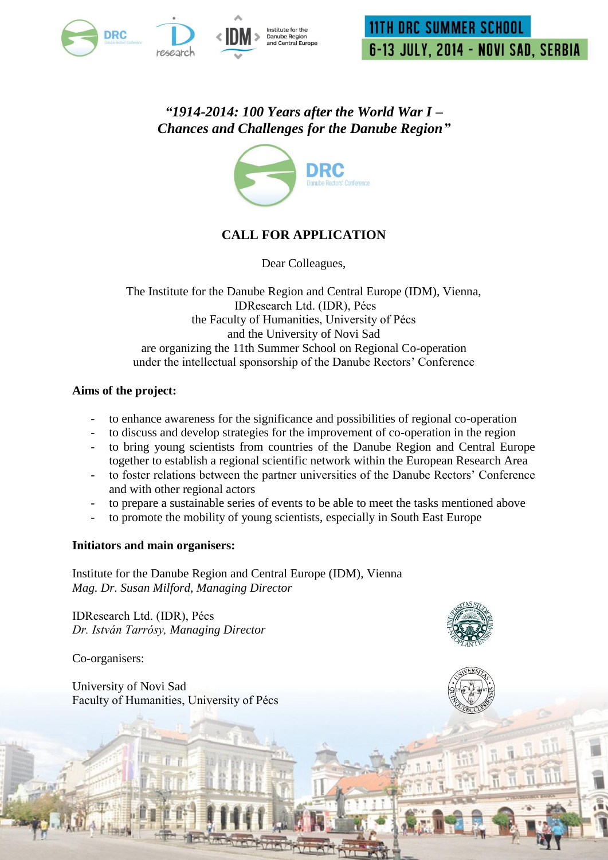

*"1914-2014: 100 Years after the World War I – Chances and Challenges for the Danube Region"*



# **CALL FOR APPLICATION**

Dear Colleagues,

The Institute for the Danube Region and Central Europe (IDM), Vienna, IDResearch Ltd. (IDR), Pécs the Faculty of Humanities, University of Pécs and the University of Novi Sad are organizing the 11th Summer School on Regional Co-operation under the intellectual sponsorship of the Danube Rectors" Conference

### **Aims of the project:**

- to enhance awareness for the significance and possibilities of regional co-operation
- to discuss and develop strategies for the improvement of co-operation in the region
- to bring young scientists from countries of the Danube Region and Central Europe together to establish a regional scientific network within the European Research Area
- to foster relations between the partner universities of the Danube Rectors' Conference and with other regional actors
- to prepare a sustainable series of events to be able to meet the tasks mentioned above
- to promote the mobility of young scientists, especially in South East Europe

### **Initiators and main organisers:**

Institute for the Danube Region and Central Europe (IDM), Vienna *Mag. Dr. Susan Milford, Managing Director*

IDResearch Ltd. (IDR), Pécs *Dr. István Tarrósy, Managing Director*

Co-organisers:

University of Novi Sad Faculty of Humanities, University of Pécs

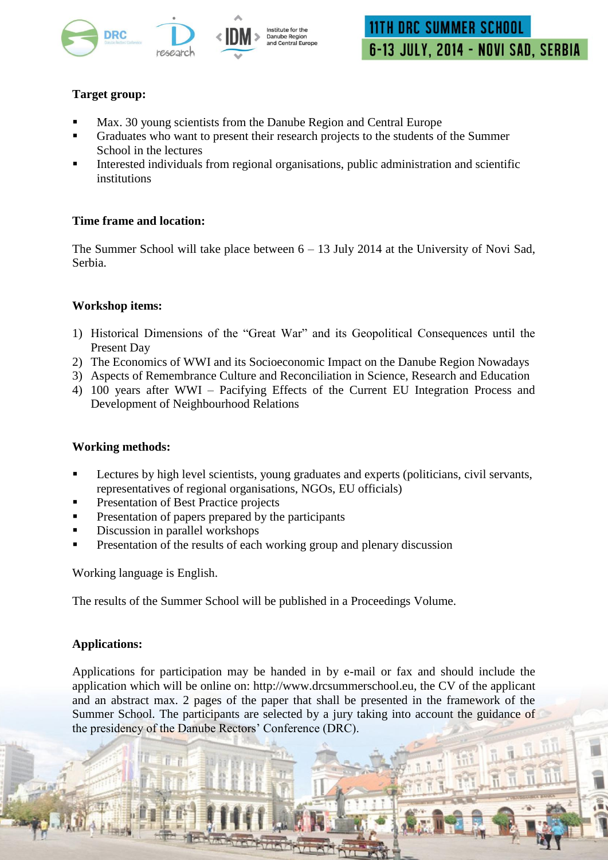

# **Target group:**

- Max. 30 young scientists from the Danube Region and Central Europe
- Graduates who want to present their research projects to the students of the Summer School in the lectures
- Interested individuals from regional organisations, public administration and scientific institutions

### **Time frame and location:**

The Summer School will take place between  $6 - 13$  July 2014 at the University of Novi Sad, Serbia.

### **Workshop items:**

- 1) Historical Dimensions of the "Great War" and its Geopolitical Consequences until the Present Day
- 2) The Economics of WWI and its Socioeconomic Impact on the Danube Region Nowadays
- 3) Aspects of Remembrance Culture and Reconciliation in Science, Research and Education
- 4) 100 years after WWI Pacifying Effects of the Current EU Integration Process and Development of Neighbourhood Relations

### **Working methods:**

- Lectures by high level scientists, young graduates and experts (politicians, civil servants, representatives of regional organisations, NGOs, EU officials)
- **Presentation of Best Practice projects**
- Presentation of papers prepared by the participants
- Discussion in parallel workshops
- Presentation of the results of each working group and plenary discussion

Working language is English.

The results of the Summer School will be published in a Proceedings Volume.

# **Applications:**

Applications for participation may be handed in by e-mail or fax and should include the application which will be online on: http://www.drcsummerschool.eu, the CV of the applicant and an abstract max. 2 pages of the paper that shall be presented in the framework of the Summer School. The participants are selected by a jury taking into account the guidance of the presidency of the Danube Rectors' Conference (DRC).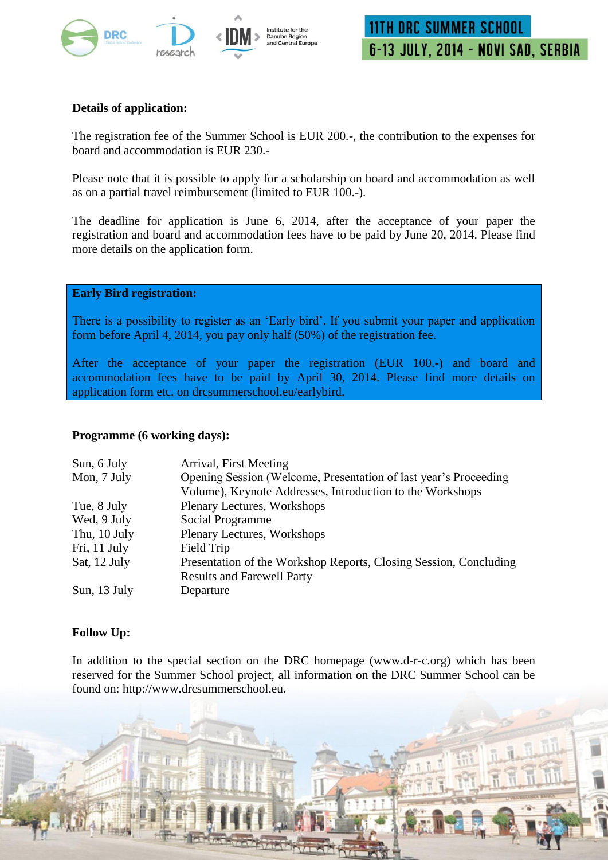

# **Details of application:**

The registration fee of the Summer School is EUR 200.-, the contribution to the expenses for board and accommodation is EUR 230.-

Please note that it is possible to apply for a scholarship on board and accommodation as well as on a partial travel reimbursement (limited to EUR 100.-).

The deadline for application is June 6, 2014, after the acceptance of your paper the registration and board and accommodation fees have to be paid by June 20, 2014. Please find more details on the application form.

### **Early Bird registration:**

There is a possibility to register as an 'Early bird'. If you submit your paper and application form before April 4, 2014, you pay only half (50%) of the registration fee.

After the acceptance of your paper the registration (EUR 100.-) and board and accommodation fees have to be paid by April 30, 2014. Please find more details on application form etc. on drcsummerschool.eu/earlybird.

### **Programme (6 working days):**

| Sun, 6 July  | Arrival, First Meeting                                            |
|--------------|-------------------------------------------------------------------|
| Mon, 7 July  | Opening Session (Welcome, Presentation of last year's Proceeding  |
|              | Volume), Keynote Addresses, Introduction to the Workshops         |
| Tue, 8 July  | <b>Plenary Lectures, Workshops</b>                                |
| Wed, 9 July  | Social Programme                                                  |
| Thu, 10 July | Plenary Lectures, Workshops                                       |
| Fri, 11 July | Field Trip                                                        |
| Sat, 12 July | Presentation of the Workshop Reports, Closing Session, Concluding |
|              | <b>Results and Farewell Party</b>                                 |
| Sun, 13 July | Departure                                                         |

# **Follow Up:**

In addition to the special section on the DRC homepage (www.d-r-c.org) which has been reserved for the Summer School project, all information on the DRC Summer School can be found on: http://www.drcsummerschool.eu.